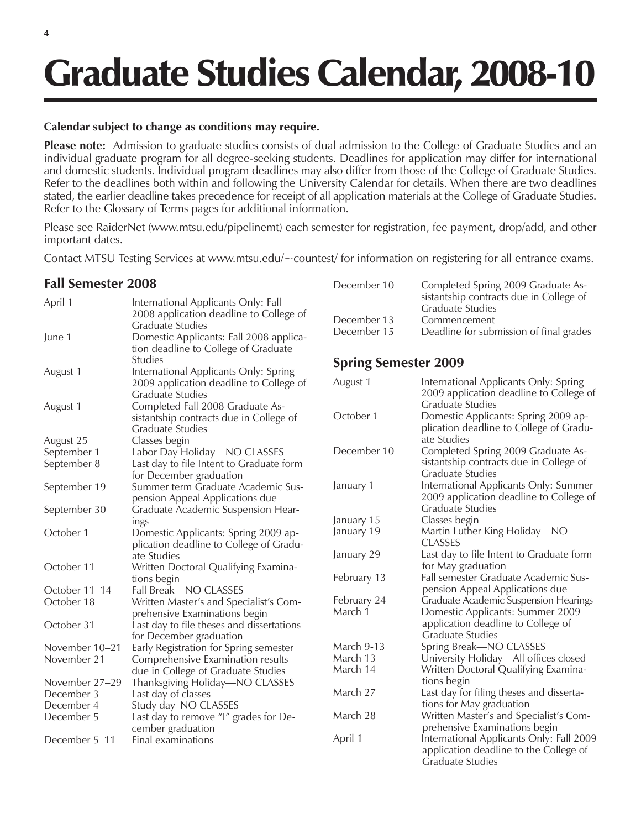# Graduate Studies Calendar, 2008-10

#### **Calendar subject to change as conditions may require.**

**Please note:** Admission to graduate studies consists of dual admission to the College of Graduate Studies and an individual graduate program for all degree-seeking students. Deadlines for application may differ for international and domestic students. Individual program deadlines may also differ from those of the College of Graduate Studies. Refer to the deadlines both within and following the University Calendar for details. When there are two deadlines stated, the earlier deadline takes precedence for receipt of all application materials at the College of Graduate Studies. Refer to the Glossary of Terms pages for additional information.

Please see RaiderNet (www.mtsu.edu/pipelinemt) each semester for registration, fee payment, drop/add, and other important dates.

Contact MTSU Testing Services at www.mtsu.edu/~countest/ for information on registering for all entrance exams.

## **Fall Semester 2008**

| April 1        | International Applicants Only: Fall<br>2008 application deadline to College of |                                  |
|----------------|--------------------------------------------------------------------------------|----------------------------------|
| June 1         | Graduate Studies<br>Domestic Applicants: Fall 2008 applica-                    | $Dec \epsilon$<br>$Dec \epsilon$ |
|                | tion deadline to College of Graduate                                           |                                  |
|                | <b>Studies</b>                                                                 | Spr                              |
| August 1       | International Applicants Only: Spring                                          |                                  |
|                | 2009 application deadline to College of                                        | Augu                             |
|                | <b>Graduate Studies</b>                                                        |                                  |
| August 1       | Completed Fall 2008 Graduate As-                                               |                                  |
|                | sistantship contracts due in College of                                        | Octo                             |
|                | Graduate Studies                                                               |                                  |
| August 25      | Classes begin                                                                  |                                  |
| September 1    | Labor Day Holiday-NO CLASSES                                                   | Dece                             |
| September 8    | Last day to file Intent to Graduate form                                       |                                  |
|                | for December graduation                                                        |                                  |
| September 19   | Summer term Graduate Academic Sus-                                             | Janua                            |
|                | pension Appeal Applications due                                                |                                  |
| September 30   | Graduate Academic Suspension Hear-                                             |                                  |
|                | ings                                                                           | Janua                            |
| October 1      | Domestic Applicants: Spring 2009 ap-                                           | Janua                            |
|                | plication deadline to College of Gradu-                                        | Janua                            |
| October 11     | ate Studies<br>Written Doctoral Qualifying Examina-                            |                                  |
|                |                                                                                | Febr                             |
| October 11–14  | tions begin<br>Fall Break-NO CLASSES                                           |                                  |
| October 18     | Written Master's and Specialist's Com-                                         | Febr                             |
|                | prehensive Examinations begin                                                  | Marc                             |
| October 31     | Last day to file theses and dissertations                                      |                                  |
|                | for December graduation                                                        |                                  |
| November 10-21 | Early Registration for Spring semester                                         | Marc                             |
| November 21    | Comprehensive Examination results                                              | Marc                             |
|                | due in College of Graduate Studies                                             | Marc                             |
| November 27-29 | Thanksgiving Holiday-NO CLASSES                                                |                                  |
| December 3     | Last day of classes                                                            | Marc                             |
| December 4     | Study day-NO CLASSES                                                           |                                  |
| December 5     | Last day to remove "I" grades for De-                                          | Marc                             |
|                | cember graduation                                                              |                                  |
| December 5–11  | Final examinations                                                             | April                            |

| December 10 | Completed Spring 2009 Graduate As-<br>sistantship contracts due in College of |
|-------------|-------------------------------------------------------------------------------|
|             | <b>Graduate Studies</b>                                                       |
| December 13 | Commencement                                                                  |
| December 15 | Deadline for submission of final grades                                       |

## **ing Semester 2009**

| August 1          | International Applicants Only: Spring<br>2009 application deadline to College of                              |
|-------------------|---------------------------------------------------------------------------------------------------------------|
|                   | Graduate Studies                                                                                              |
| October 1         | Domestic Applicants: Spring 2009 ap-<br>plication deadline to College of Gradu-<br>ate Studies                |
| December 10       | Completed Spring 2009 Graduate As-<br>sistantship contracts due in College of<br>Graduate Studies             |
| January 1         | International Applicants Only: Summer<br>2009 application deadline to College of<br><b>Graduate Studies</b>   |
| January 15        | Classes begin                                                                                                 |
| January 19        | Martin Luther King Holiday-NO<br>CLASSES                                                                      |
| January 29        | Last day to file Intent to Graduate form<br>for May graduation                                                |
| February 13       | Fall semester Graduate Academic Sus-<br>pension Appeal Applications due                                       |
| February 24       | Graduate Academic Suspension Hearings                                                                         |
| March 1           | Domestic Applicants: Summer 2009<br>application deadline to College of<br>Graduate Studies                    |
| <b>March 9-13</b> | Spring Break-NO CLASSES                                                                                       |
| March 13          | University Holiday-All offices closed                                                                         |
| March 14          | Written Doctoral Qualifying Examina-<br>tions begin                                                           |
| March 27          | Last day for filing theses and disserta-<br>tions for May graduation                                          |
| March 28          | Written Master's and Specialist's Com-<br>prehensive Examinations begin                                       |
| April 1           | International Applicants Only: Fall 2009<br>application deadline to the College of<br><b>Graduate Studies</b> |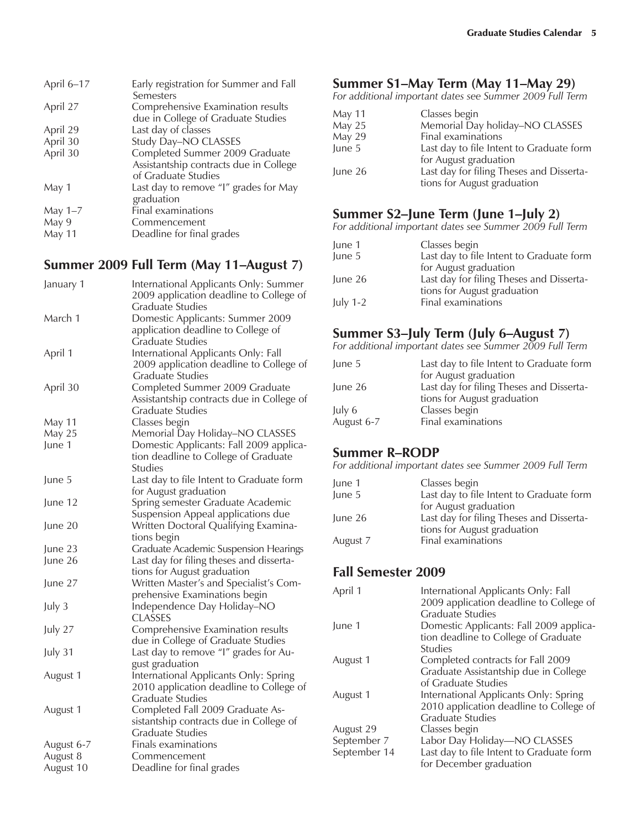| April 6-17    | Early registration for Summer and Fall<br>Semesters                                             |
|---------------|-------------------------------------------------------------------------------------------------|
| April 27      | Comprehensive Examination results<br>due in College of Graduate Studies                         |
| April 29      | Last day of classes                                                                             |
| April 30      | Study Day-NO CLASSES                                                                            |
| April 30      | Completed Summer 2009 Graduate<br>Assistantship contracts due in College<br>of Graduate Studies |
| May 1         | Last day to remove "I" grades for May<br>graduation                                             |
| May $1-7$     | Final examinations                                                                              |
| May 9         | Commencement                                                                                    |
| <b>May 11</b> | Deadline for final grades                                                                       |

## **Summer 2009 Full Term (May 11–August 7)**

| January 1  | International Applicants Only: Summer        |
|------------|----------------------------------------------|
|            | 2009 application deadline to College of      |
|            | <b>Graduate Studies</b>                      |
| March 1    | Domestic Applicants: Summer 2009             |
|            | application deadline to College of           |
|            | <b>Graduate Studies</b>                      |
| April 1    | International Applicants Only: Fall          |
|            | 2009 application deadline to College of      |
|            | <b>Graduate Studies</b>                      |
| April 30   | Completed Summer 2009 Graduate               |
|            | Assistantship contracts due in College of    |
|            | <b>Graduate Studies</b>                      |
| May 11     | Classes begin                                |
| May 25     | Memorial Day Holiday-NO CLASSES              |
| June 1     | Domestic Applicants: Fall 2009 applica-      |
|            | tion deadline to College of Graduate         |
|            | <b>Studies</b>                               |
| June 5     | Last day to file Intent to Graduate form     |
|            | for August graduation                        |
| June 12    | Spring semester Graduate Academic            |
|            | Suspension Appeal applications due           |
| June 20    | Written Doctoral Qualifying Examina-         |
|            | tions begin                                  |
| June 23    | <b>Graduate Academic Suspension Hearings</b> |
| June 26    | Last day for filing theses and disserta-     |
|            | tions for August graduation                  |
| June 27    | Written Master's and Specialist's Com-       |
|            | prehensive Examinations begin                |
| July 3     | Independence Day Holiday-NO                  |
|            | CLASSES                                      |
| July 27    | Comprehensive Examination results            |
|            | due in College of Graduate Studies           |
| July 31    | Last day to remove "I" grades for Au-        |
|            | gust graduation                              |
| August 1   | International Applicants Only: Spring        |
|            | 2010 application deadline to College of      |
|            | <b>Graduate Studies</b>                      |
| August 1   | Completed Fall 2009 Graduate As-             |
|            | sistantship contracts due in College of      |
|            | <b>Graduate Studies</b>                      |
| August 6-7 | Finals examinations                          |
| August 8   | Commencement                                 |
| August 10  | Deadline for final grades                    |

## **Summer S1–May Term (May 11–May 29)**

*For additional important dates see Summer 2009 Full Term* 

| <b>May 11</b> | Classes begin                            |
|---------------|------------------------------------------|
| May 25        | Memorial Day holiday-NO CLASSES          |
| May 29        | Final examinations                       |
| June 5        | Last day to file Intent to Graduate form |
|               | for August graduation                    |
| June 26       | Last day for filing Theses and Disserta- |
|               | tions for August graduation              |

## **Summer S2–June Term (June 1–July 2)**

*For additional important dates see Summer 2009 Full Term*

| June 1     | Classes begin                            |
|------------|------------------------------------------|
| June 5     | Last day to file Intent to Graduate form |
|            | for August graduation                    |
| June 26    | Last day for filing Theses and Disserta- |
|            | tions for August graduation              |
| July $1-2$ | Final examinations                       |

## **Summer S3–July Term (July 6–August 7)**

*For additional important dates see Summer 2009 Full Term*

| June 5     | Last day to file Intent to Graduate form |
|------------|------------------------------------------|
|            | for August graduation                    |
| June 26    | Last day for filing Theses and Disserta- |
|            | tions for August graduation              |
| July 6     | Classes begin                            |
| August 6-7 | Final examinations                       |

## **Summer R–RODP**

*For additional important dates see Summer 2009 Full Term*

| June 1   | Classes begin                            |
|----------|------------------------------------------|
| June 5   | Last day to file Intent to Graduate form |
|          | for August graduation                    |
| June 26  | Last day for filing Theses and Disserta- |
|          | tions for August graduation              |
| August 7 | Final examinations                       |

# **Fall Semester 2009**

| International Applicants Only: Fall      |
|------------------------------------------|
| 2009 application deadline to College of  |
| Graduate Studies                         |
| Domestic Applicants: Fall 2009 applica-  |
| tion deadline to College of Graduate     |
| Studies                                  |
| Completed contracts for Fall 2009        |
| Graduate Assistantship due in College    |
| of Graduate Studies                      |
| International Applicants Only: Spring    |
| 2010 application deadline to College of  |
| Graduate Studies                         |
| Classes begin                            |
| Labor Day Holiday-NO CLASSES             |
| Last day to file Intent to Graduate form |
| for December graduation                  |
|                                          |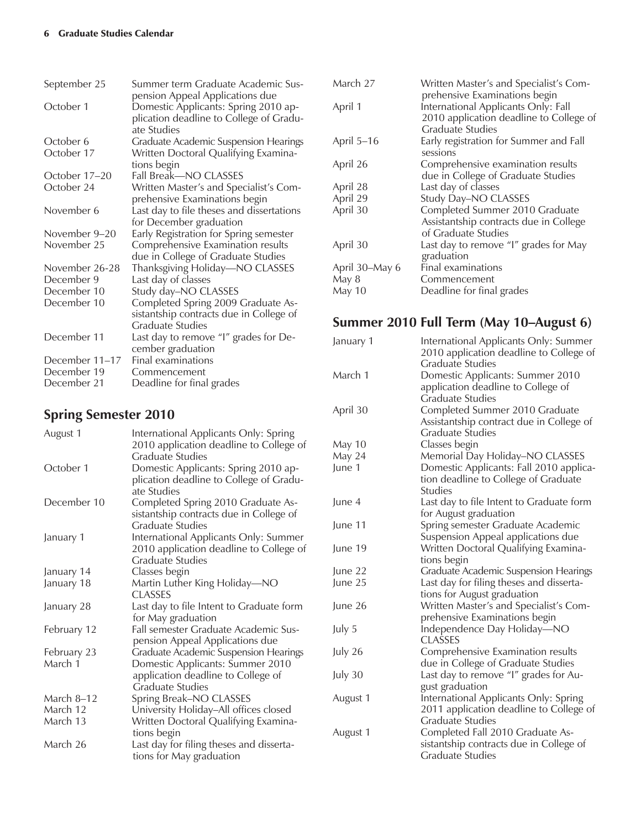| September 25   | Summer term Graduate Academic Sus-                                                                                                |
|----------------|-----------------------------------------------------------------------------------------------------------------------------------|
| October 1      | pension Appeal Applications due<br>Domestic Applicants: Spring 2010 ap-<br>plication deadline to College of Gradu-<br>ate Studies |
| October 6      | <b>Graduate Academic Suspension Hearings</b>                                                                                      |
| October 17     | Written Doctoral Qualifying Examina-<br>tions begin                                                                               |
| October 17–20  | Fall Break-NO CLASSES                                                                                                             |
| October 24     | Written Master's and Specialist's Com-<br>prehensive Examinations begin                                                           |
| November 6     | Last day to file theses and dissertations<br>for December graduation                                                              |
| November 9–20  | Early Registration for Spring semester                                                                                            |
| November 25    | Comprehensive Examination results<br>due in College of Graduate Studies                                                           |
| November 26-28 | Thanksgiving Holiday-NO CLASSES                                                                                                   |
| December 9     | Last day of classes                                                                                                               |
| December 10    | Study day-NO CLASSES                                                                                                              |
| December 10    | Completed Spring 2009 Graduate As-                                                                                                |
|                | sistantship contracts due in College of                                                                                           |
|                | Graduate Studies                                                                                                                  |
| December 11    | Last day to remove "I" grades for De-                                                                                             |
|                | cember graduation                                                                                                                 |
| December 11-17 | Final examinations                                                                                                                |
| December 19    | Commencement                                                                                                                      |
| December 21    | Deadline for final grades                                                                                                         |

# **Spring Semester 2010**

| August 1    | International Applicants Only: Spring<br>2010 application deadline to College of<br><b>Graduate Studies</b> |
|-------------|-------------------------------------------------------------------------------------------------------------|
| October 1   | Domestic Applicants: Spring 2010 ap-<br>plication deadline to College of Gradu-<br>ate Studies              |
| December 10 | Completed Spring 2010 Graduate As-<br>sistantship contracts due in College of<br><b>Graduate Studies</b>    |
| January 1   | International Applicants Only: Summer<br>2010 application deadline to College of<br><b>Graduate Studies</b> |
| January 14  | Classes begin                                                                                               |
| January 18  | Martin Luther King Holiday-NO<br>CLASSES                                                                    |
| January 28  | Last day to file Intent to Graduate form<br>for May graduation                                              |
| February 12 | Fall semester Graduate Academic Sus-<br>pension Appeal Applications due                                     |
| February 23 | Graduate Academic Suspension Hearings                                                                       |
| March 1     | Domestic Applicants: Summer 2010<br>application deadline to College of<br>Graduate Studies                  |
| March 8–12  | Spring Break-NO CLASSES                                                                                     |
| March 12    | University Holiday-All offices closed                                                                       |
| March 13    | Written Doctoral Qualifying Examina-<br>tions begin                                                         |
| March 26    | Last day for filing theses and disserta-<br>tions for May graduation                                        |

| March 27       | Written Master's and Specialist's Com-  |
|----------------|-----------------------------------------|
|                | prehensive Examinations begin           |
| April 1        | International Applicants Only: Fall     |
|                | 2010 application deadline to College of |
|                | Graduate Studies                        |
| April 5-16     | Early registration for Summer and Fall  |
|                | sessions                                |
| April 26       | Comprehensive examination results       |
|                | due in College of Graduate Studies      |
| April 28       | Last day of classes                     |
| April 29       | Study Day-NO CLASSES                    |
| April 30       | Completed Summer 2010 Graduate          |
|                | Assistantship contracts due in College  |
|                | of Graduate Studies                     |
| April 30       | Last day to remove "I" grades for May   |
|                | graduation                              |
|                | Final examinations                      |
| May 8          | Commencement                            |
| May 10         | Deadline for final grades               |
| April 30–May 6 |                                         |

# **Summer 2010 Full Term (May 10–August 6)**

| January 1     | International Applicants Only: Summer<br>2010 application deadline to College of<br><b>Graduate Studies</b> |
|---------------|-------------------------------------------------------------------------------------------------------------|
| March 1       | Domestic Applicants: Summer 2010<br>application deadline to College of<br><b>Graduate Studies</b>           |
| April 30      | Completed Summer 2010 Graduate<br>Assistantship contract due in College of<br><b>Graduate Studies</b>       |
| <b>May 10</b> | Classes begin                                                                                               |
| May 24        | Memorial Day Holiday-NO CLASSES                                                                             |
| June 1        | Domestic Applicants: Fall 2010 applica-<br>tion deadline to College of Graduate<br><b>Studies</b>           |
| June 4        | Last day to file Intent to Graduate form<br>for August graduation                                           |
| June 11       | Spring semester Graduate Academic<br>Suspension Appeal applications due                                     |
| June 19       | Written Doctoral Qualifying Examina-<br>tions begin                                                         |
| June 22       | <b>Graduate Academic Suspension Hearings</b>                                                                |
| June 25       | Last day for filing theses and disserta-<br>tions for August graduation                                     |
| June 26       | Written Master's and Specialist's Com-<br>prehensive Examinations begin                                     |
| July 5        | Independence Day Holiday-NO<br><b>CLASSES</b>                                                               |
| July 26       | Comprehensive Examination results<br>due in College of Graduate Studies                                     |
| July 30       | Last day to remove "I" grades for Au-<br>gust graduation                                                    |
| August 1      | International Applicants Only: Spring<br>2011 application deadline to College of<br>Graduate Studies        |
| August 1      | Completed Fall 2010 Graduate As-<br>sistantship contracts due in College of<br>Graduate Studies             |